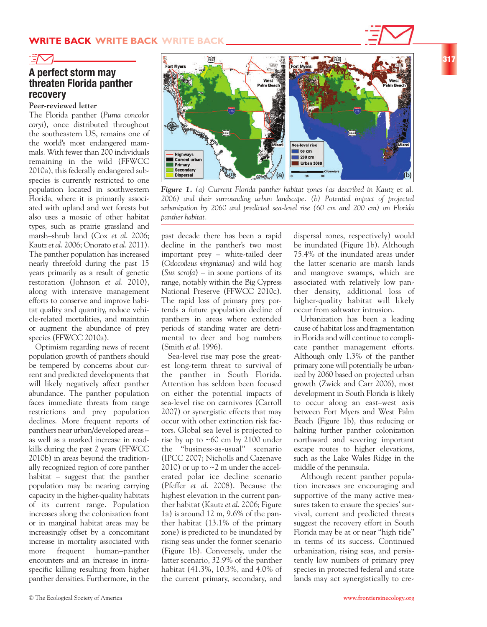

## **A perfect storm may threaten Florida panther recovery**

### **Peer-reviewed letter**

The Florida panther (*Puma concolor coryi*), once distributed throughout the southeastern US, remains one of the world's most endangered mammals. With fewer than 200 individuals remaining in the wild (FFWCC 2010a), this federally endangered subspecies is currently restricted to one population located in southwestern Florida, where it is primarily associated with upland and wet forests but also uses a mosaic of other habitat types, such as prairie grassland and marsh–shrub land (Cox *et al*. 2006; Kautz *et al*. 2006; Onorato *et al*. 2011). The panther population has increased nearly threefold during the past 15 years primarily as a result of genetic restoration (Johnson *et al*. 2010), along with intensive management efforts to conserve and improve habitat quality and quantity, reduce vehicle-related mortalities, and maintain or augment the abundance of prey species (FFWCC 2010a).

Optimism regarding news of recent population growth of panthers should be tempered by concerns about current and predicted developments that will likely negatively affect panther abundance. The panther population faces immediate threats from range restrictions and prey population declines. More frequent reports of panthers near urban/developed areas – as well as a marked increase in roadkills during the past 2 years (FFWCC 2010b) in areas beyond the traditionally recognized region of core panther habitat – suggest that the panther population may be nearing carrying capacity in the higher-quality habitats of its current range. Population increases along the colonization front or in marginal habitat areas may be increasingly offset by a concomitant increase in mortality associated with more frequent human–panther encounters and an increase in intraspecific killing resulting from higher panther densities. Furthermore, in the

 $\widetilde{\mathbb{R}}$ Sea-level rise  $60 \text{ cm}$ Highways<br>Current urban 200 cm Primary **Urban 2060 Secondary Dispersal (a) (b)**

*Figure 1. (a) Current Florida panther habitat zones (as described in Kautz* et al*. 2006) and their surrounding urban landscape. (b) Potential impact of projected urbanization by 2060 and predicted sea-level rise (60 cm and 200 cm) on Florida panther habitat.* 

past decade there has been a rapid decline in the panther's two most important prey – white-tailed deer (*Odocoileus virginianus)* and wild hog (*Sus scrofa*) – in some portions of its range, notably within the Big Cypress National Preserve (FFWCC 2010c). The rapid loss of primary prey portends a future population decline of panthers in areas where extended periods of standing water are detrimental to deer and hog numbers (Smith *et al*. 1996).

Sea-level rise may pose the greatest long-term threat to survival of the panther in South Florida. Attention has seldom been focused on either the potential impacts of sea-level rise on carnivores (Carroll 2007) or synergistic effects that may occur with other extinction risk factors. Global sea level is projected to rise by up to ~60 cm by 2100 under the "business-as-usual" scenario (IPCC 2007; Nicholls and Cazenave 2010) or up to  $\sim$  2 m under the accelerated polar ice decline scenario (Pfeffer *et al*. 2008). Because the highest elevation in the current panther habitat (Kautz *et al*. 2006; Figure 1a) is around 12 m, 9.6% of the panther habitat (13.1% of the primary zone) is predicted to be inundated by rising seas under the former scenario (Figure 1b). Conversely, under the latter scenario, 32.9% of the panther habitat (41.3%, 10.3%, and 4.0% of the current primary, secondary, and dispersal zones, respectively) would be inundated (Figure 1b). Although 75.4% of the inundated areas under the latter scenario are marsh lands and mangrove swamps, which are associated with relatively low panther density, additional loss of higher-quality habitat will likely occur from saltwater intrusion.

Urbanization has been a leading cause of habitat loss and fragmentation in Florida and will continue to complicate panther management efforts. Although only 1.3% of the panther primary zone will potentially be urbanized by 2060 based on projected urban growth (Zwick and Carr 2006), most development in South Florida is likely to occur along an east–west axis between Fort Myers and West Palm Beach (Figure 1b), thus reducing or halting further panther colonization northward and severing important escape routes to higher elevations, such as the Lake Wales Ridge in the middle of the peninsula.

Although recent panther population increases are encouraging and supportive of the many active measures taken to ensure the species' survival, current and predicted threats suggest the recovery effort in South Florida may be at or near "high tide" in terms of its success. Continued urbanization, rising seas, and persistently low numbers of primary prey species in protected federal and state lands may act synergistically to cre